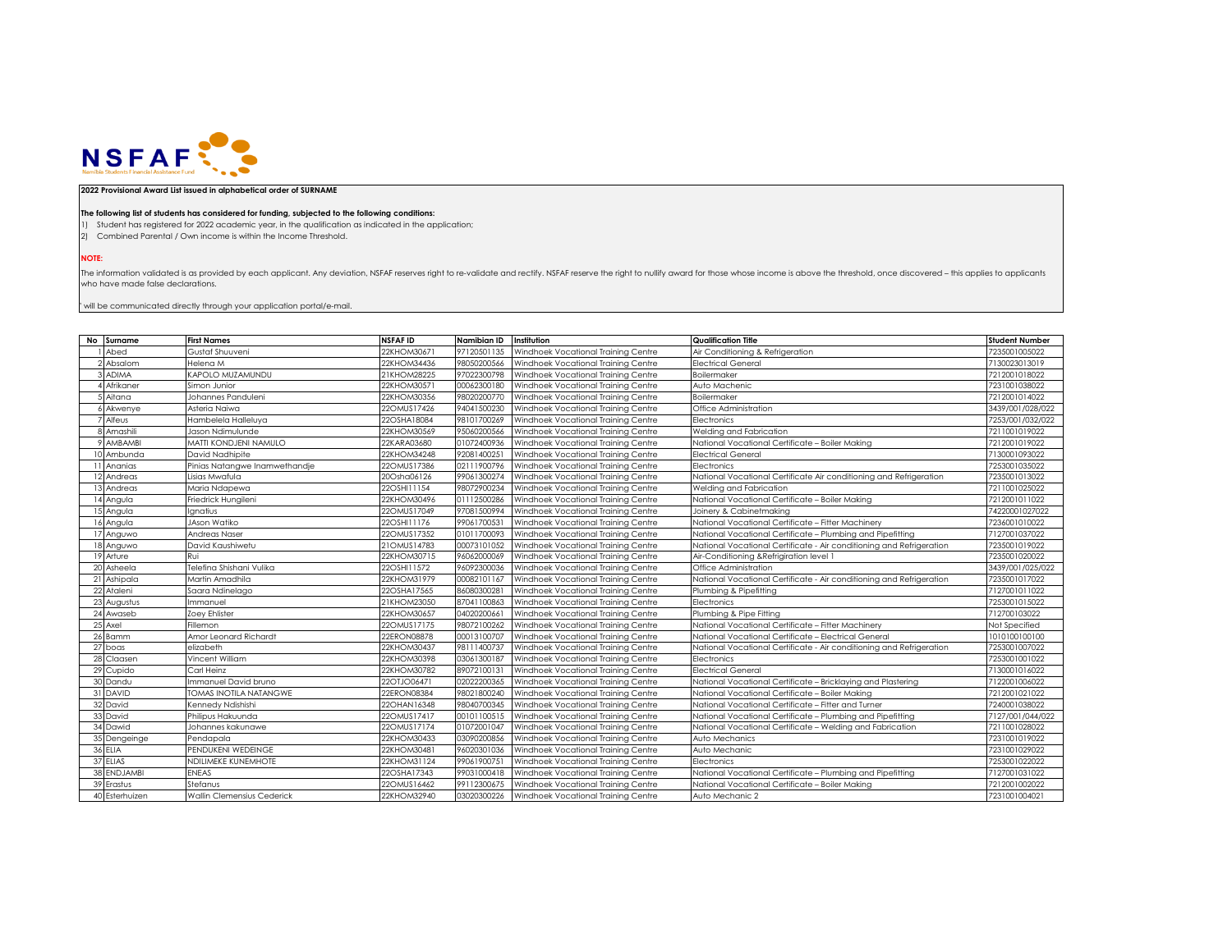

## **2022 Provisional Award List issued in alphabetical order of SURNAME**

## **The following list of students has considered for funding, subjected to the following conditions:**

1) Student has registered for 2022 academic year, in the qualification as indicated in the application;

2) Combined Parental / Own income is within the Income Threshold.

**NOTE:**

The information validated is as provided by each applicant. Any deviation, NSFAF reserves right to re-validate and rectify. NSFAF reserve the right to nullify award for those whose income is above the threshold, once disco who have made false declarations.

 $"$  will be communicated directly through your application portal/e-mail.

| No Surname     | <b>First Names</b>                | <b>NSFAF ID</b> | Namibian ID | Institution                         | <b>Qualification Title</b>                                           | <b>Student Number</b> |
|----------------|-----------------------------------|-----------------|-------------|-------------------------------------|----------------------------------------------------------------------|-----------------------|
| Abed           | Gustaf Shuuveni                   | 22KHOM30671     | 97120501135 | Windhoek Vocational Training Centre | Air Conditioning & Refrigeration                                     | 7235001005022         |
| Absalom        | Helena M                          | 22KHOM34436     | 98050200566 | Windhoek Vocational Training Centre | Electrical General                                                   | 7130023013019         |
| <b>ADIMA</b>   | KAPOLO MUZAMUNDU                  | 21KHOM28225     | 97022300798 | Windhoek Vocational Training Centre | Boilermaker                                                          | 7212001018022         |
| Afrikaner      | Simon Junior                      | 22KHOM30571     | 00062300180 | Windhoek Vocational Training Centre | Auto Machenic                                                        | 7231001038022         |
| Aitana         | Johannes Panduleni                | 22KHOM30356     | 98020200770 | Windhoek Vocational Training Centre | Boilermaker                                                          | 7212001014022         |
| Akwenye        | Asteria Naiwa                     | 22OMUS17426     | 94041500230 | Windhoek Vocational Training Centre | Office Administration                                                | 3439/001/028/022      |
| Alfeus         | Hambelela Halleluya               | 22OSHA18084     | 98101700269 | Windhoek Vocational Training Centre | Electronics                                                          | 7253/001/032/022      |
| Amashili       | Jason Ndimulunde                  | 22KHOM30569     | 95060200566 | Windhoek Vocational Training Centre | Welding and Fabrication                                              | 7211001019022         |
| AMBAMBI        | MATTI KONDJENI NAMULO             | 22KARA03680     | 01072400936 | Windhoek Vocational Training Centre | National Vocational Certificate - Boiler Making                      | 7212001019022         |
| Ambunda        | David Nadhipite                   | 22KHOM34248     | 92081400251 | Windhoek Vocational Training Centre | <b>Electrical General</b>                                            | 7130001093022         |
| Ananias        | Pinias Natangwe Inamwethandje     | 22OMUS17386     | 02111900796 | Windhoek Vocational Training Centre | Electronics                                                          | 7253001035022         |
| Andreas        | Lisias Mwafula                    | 20Osha06126     | 99061300274 | Windhoek Vocational Training Centre | National Vocational Certificate Air conditioning and Refrigeration   | 7235001013022         |
| Andreas        | Maria Ndapewa                     | 22OSHI1154      | 98072900234 | Windhoek Vocational Training Centre | Welding and Fabrication                                              | 7211001025022         |
| 14 Angula      | Friedrick Hungileni               | 22KHOM30496     | 01112500286 | Windhoek Vocational Training Centre | National Vocational Certificate - Boiler Making                      | 7212001011022         |
| 5 Angula       | Ignatius                          | 22OMUS17049     | 97081500994 | Windhoek Vocational Training Centre | Joinery & Cabinetmaking                                              | 74220001027022        |
| Angula         | JAson Watiko                      | 22OSHI1176      | 99061700531 | Windhoek Vocational Training Centre | National Vocational Certificate - Fitter Machinery                   | 7236001010022         |
| Anguwo         | Andreas Naser                     | 22OMUS17352     | 01011700093 | Windhoek Vocational Training Centre | National Vocational Certificate - Plumbing and Pipefitting           | 7127001037022         |
| 8 Anguwo       | David Kaushiwetu                  | 21OMUS14783     | 00073101052 | Windhoek Vocational Training Centre | National Vocational Certificate - Air conditioning and Refrigeration | 7235001019022         |
| 19 Arture      | Rui                               | 22KHOM30715     | 96062000069 | Windhoek Vocational Training Centre | Air-Conditioning & Refrigiration level 1                             | 7235001020022         |
| 20 Asheela     | Telefina Shishani Vulika          | 22OSHI11572     | 96092300036 | Windhoek Vocational Training Centre | Office Administration                                                | 3439/001/025/022      |
| 21 Ashipala    | Martin Amadhila                   | 22KHOM31979     | 00082101167 | Windhoek Vocational Training Centre | National Vocational Certificate - Air conditioning and Refrigeration | 7235001017022         |
| 22 Ataleni     | Saara Ndinelago                   | 22OSHA17565     | 8608030028  | Windhoek Vocational Training Centre | Plumbing & Pipefitting                                               | 7127001011022         |
| 23 Augustus    | Immanuel                          | 21KHOM23050     | 87041100863 | Windhoek Vocational Training Centre | Electronics                                                          | 7253001015022         |
| 24 Awaseb      | Zoey Ehlister                     | 22KHOM30657     | 0402020066  | Windhoek Vocational Training Centre | Plumbing & Pipe Fitting                                              | 712700103022          |
| 25 Axel        | Fillemon                          | 22OMUS17175     | 98072100262 | Windhoek Vocational Training Centre | National Vocational Certificate – Fitter Machinerv                   | Not Specified         |
| 26 Bamm        | Amor Leonard Richardt             | 22ERON08878     | 00013100707 | Windhoek Vocational Training Centre | National Vocational Certificate - Electrical General                 | 1010100100100         |
| 27 boas        | elizabeth                         | 22KHOM30437     | 98111400737 | Windhoek Vocational Training Centre | National Vocational Certificate - Air conditioning and Refrigeration | 7253001007022         |
| 28 Claasen     | Vincent William                   | 22KHOM30398     | 03061300187 | Windhoek Vocational Training Centre | Electronics                                                          | 7253001001022         |
| 29 Cupido      | Carl Heinz                        | 22KHOM30782     | 89072100131 | Windhoek Vocational Training Centre | <b>Electrical General</b>                                            | 7130001016022         |
| 30 Dandu       | Immanuel David bruno              | 22OTJO06471     | 02022200365 | Windhoek Vocational Training Centre | National Vocational Certificate - Bricklaying and Plastering         | 7122001006022         |
| 31 DAVID       | <b>TOMAS INOTILA NATANGWE</b>     | 22ERON08384     | 98021800240 | Windhoek Vocational Training Centre | National Vocational Certificate - Boiler Making                      | 7212001021022         |
| 32 David       | Kennedy Ndishishi                 | 22OHAN16348     | 98040700345 | Windhoek Vocational Training Centre | National Vocational Certificate - Fitter and Turner                  | 7240001038022         |
| 33 David       | Philipus Hakuunda                 | 22OMUS17417     | 00101100515 | Windhoek Vocational Training Centre | National Vocational Certificate - Plumbing and Pipefitting           | 7127/001/044/022      |
| 34 Dawid       | Johannes kakunawe                 | 22OMUS17174     | 01072001047 | Windhoek Vocational Training Centre | National Vocational Certificate - Welding and Fabrication            | 7211001028022         |
| 35 Dengeinge   | Pendapala                         | 22KHOM30433     | 03090200856 | Windhoek Vocational Training Centre | Auto Mechanics                                                       | 7231001019022         |
| 36 ELIA        | PENDUKENI WEDEINGE                | 22KHOM30481     | 96020301036 | Windhoek Vocational Training Centre | Auto Mechanic                                                        | 7231001029022         |
| 37 ELIAS       | NDILIMEKE KUNEMHOTE               | 22KHOM31124     | 99061900751 | Windhoek Vocational Training Centre | Electronics                                                          | 7253001022022         |
| 38 ENDJAMBI    | <b>ENEAS</b>                      | 22OSHA17343     | 99031000418 | Windhoek Vocational Training Centre | National Vocational Certificate - Plumbing and Pipefitting           | 7127001031022         |
| 39 Erastus     | Stefanus                          | 22OMUS16462     | 99112300675 | Windhoek Vocational Training Centre | National Vocational Certificate - Boiler Making                      | 7212001002022         |
| 40 Esterhuizen | <b>Wallin Clemensius Cederick</b> | 22KHOM32940     | 03020300226 | Windhoek Vocational Training Centre | Auto Mechanic 2                                                      | 7231001004021         |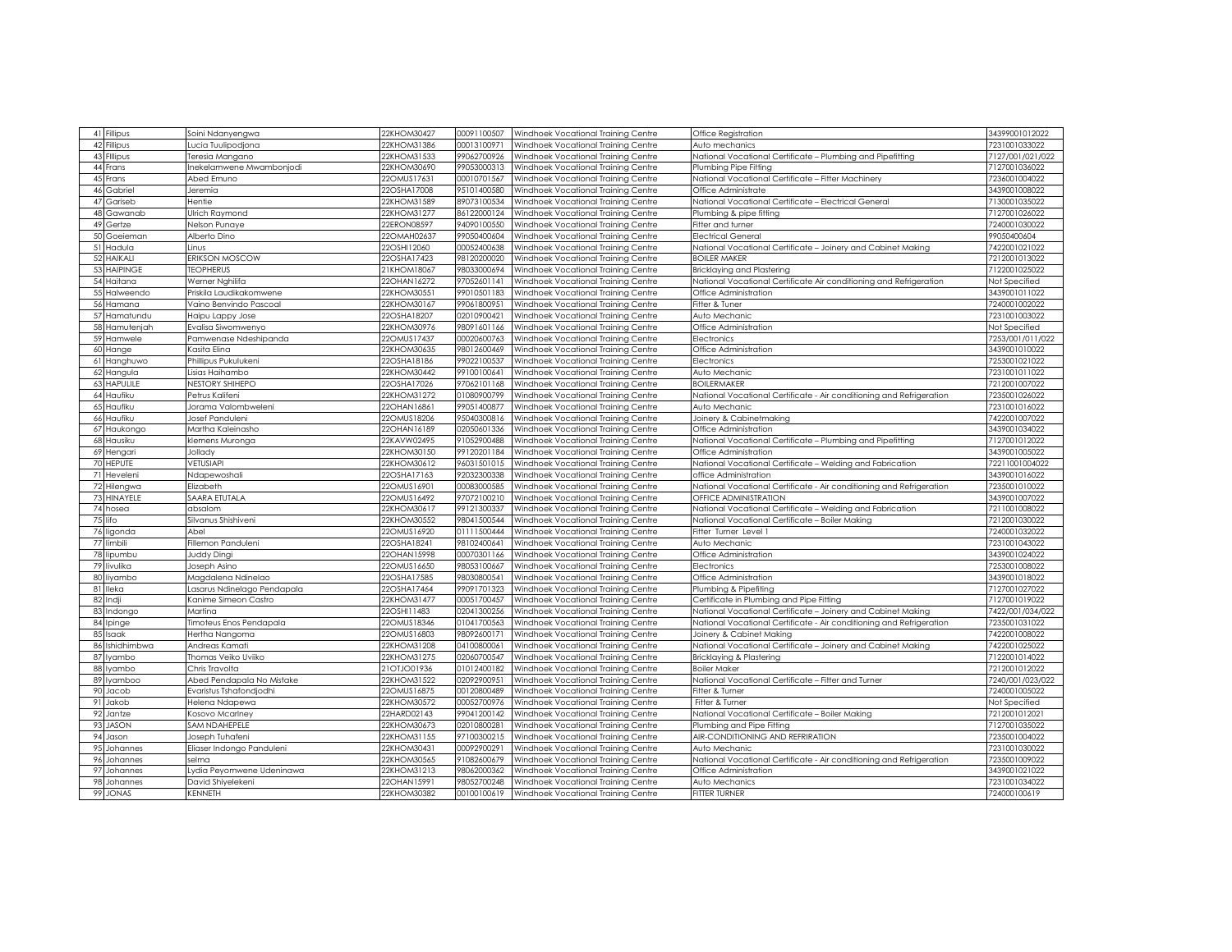|    | 41 Fillipus                | Soini Ndanyengwa           | 22KHOM30427                | 00091100507                | Windhoek Vocational Training Centre                                        | Office Registration                                                                       | 34399001012022                  |
|----|----------------------------|----------------------------|----------------------------|----------------------------|----------------------------------------------------------------------------|-------------------------------------------------------------------------------------------|---------------------------------|
|    | 42 Fillipus                | ucia Tuulipodjona          | 22KHOM31386                | 0001310097                 | Windhoek Vocational Training Centre                                        | Auto mechanics                                                                            | 7231001033022                   |
|    | 43 Fillipus                | Feresia Mangano            | 22KHOM31533                | 99062700926                | Windhoek Vocational Training Centre                                        | National Vocational Certificate - Plumbing and Pipefitting                                | 7127/001/021/022                |
|    | 44 Frans                   | Inekelamwene Mwambonjodi   | 22KHOM30690                | 99053000313                | Windhoek Vocational Training Centre                                        | Plumbing Pipe Fitting                                                                     | 7127001036022                   |
|    | 45 Frans                   | Abed Emuno                 | 220MUS17631                | 00010701567                | Windhoek Vocational Training Centre                                        | National Vocational Certificate - Fitter Machinery                                        | 7236001004022                   |
|    | 46 Gabriel                 | Jeremia                    | 22OSHA17008                | 95101400580                | Windhoek Vocational Training Centre                                        | Office Administrate                                                                       | 3439001008022                   |
|    | 47 Gariseb                 | Hentie                     | 22KHOM31589                | 89073100534                | Windhoek Vocational Training Centre                                        | National Vocational Certificate - Electrical General                                      | 7130001035022                   |
| 48 | Gawanab                    | Ulrich Raymond             | 22KHOM31277                | 86122000124                | Windhoek Vocational Training Centre                                        | Plumbing & pipe fitting                                                                   | 7127001026022                   |
|    | 49 Gertze                  | Nelson Punaye              | 22ERON08597                | 94090100550                | Windhoek Vocational Training Centre                                        | Fitter and turner                                                                         | 7240001030022                   |
| 50 | Goeieman                   | Alberto Dino               | 22OMAH02637                | 99050400604                | Windhoek Vocational Training Centre                                        | <b>Electrical General</b>                                                                 | 99050400604                     |
|    | 51 Hadula                  | Linus                      | 22OSHI12060                | 00052400638                | Windhoek Vocational Training Centre                                        | National Vocational Certificate - Joinery and Cabinet Making                              | 7422001021022                   |
|    | 52 HAIKALI                 | <b>ERIKSON MOSCOW</b>      | 22OSHA17423                | 98120200020                | Windhoek Vocational Training Centre                                        | <b>BOILER MAKER</b>                                                                       | 7212001013022                   |
|    | 53 HAIPINGE                | <b>TEOPHERUS</b>           | 21KHOM18067                | 98033000694                |                                                                            |                                                                                           | 7122001025022                   |
|    |                            |                            | 22OHAN16272                | 97052601141                | Windhoek Vocational Training Centre                                        | Bricklaying and Plastering                                                                |                                 |
|    | 54 Haitana                 | Werner Nghilifa            | 22KHOM30551                | 99010501183                | Windhoek Vocational Training Centre                                        | National Vocational Certificate Air conditioning and Refrigeration                        | Not Specified<br>3439001011022  |
| 56 | 55 Halweendo               | Priskila Laudikakomwene    | 22KHOM30167                | 99061800951                | Windhoek Vocational Training Centre                                        | Office Administration                                                                     | 7240001002022                   |
|    | Hamana                     | Vaino Benvindo Pascoal     |                            |                            | Windhoek Vocational Training Centre                                        | Fitter & Tuner                                                                            |                                 |
|    | 57 Hamatundu               | Haipu Lappy Jose           | 22OSHA18207                | 02010900421                | Windhoek Vocational Training Centre                                        | Auto Mechanic                                                                             | 7231001003022                   |
|    | 58 Hamutenjah              | Evalisa Siwomwenyo         | 22KHOM30976                | 98091601166                | Windhoek Vocational Training Centre                                        | Office Administration                                                                     | Not Specified                   |
|    | 59 Hamwele                 | Pamwenase Ndeshipanda      | 22OMUS17437                | 00020600763                | Windhoek Vocational Training Centre                                        | Electronics                                                                               | 7253/001/011/022                |
|    | 60 Hange                   | Kasita Elina               | 22KHOM30635                | 98012600469                | Windhoek Vocational Training Centre                                        | Office Administration                                                                     | 3439001010022                   |
|    | 61 Hanghuwo                | Phillipus Pukulukeni       | 22OSHA18186                | 99022100537                | Windhoek Vocational Training Centre                                        | Electronics                                                                               | 7253001021022                   |
|    | 62 Hangula                 | Lisias Haihambo            | 22KHOM30442                | 99100100641                | Windhoek Vocational Training Centre                                        | Auto Mechanic                                                                             | 7231001011022                   |
|    | 63 HAPULILE                | NESTORY SHIHEPO            | 22OSHA17026                | 97062101168                | Windhoek Vocational Training Centre                                        | <b>BOILERMAKER</b>                                                                        | 7212001007022                   |
|    | 64 Haufiku                 | Petrus Kalifeni            | 22KHOM31272                | 01080900799                | Windhoek Vocational Training Centre                                        | National Vocational Certificate - Air conditioning and Refrigeration                      | 7235001026022                   |
|    | 65 Haufiku                 | Jorama Valombweleni        | 22OHAN16861                | 99051400877                | Windhoek Vocational Training Centre                                        | Auto Mechanic                                                                             | 7231001016022                   |
|    | 66 Haufiku                 | Josef Panduleni            | 22OMUS18206                | 95040300816                | Windhoek Vocational Training Centre                                        | Joinery & Cabinetmaking                                                                   | 7422001007022                   |
|    | 67 Haukongo                | Martha Kaleinasho          | 22OHAN16189                | 02050601336                | Windhoek Vocational Training Centre                                        | Office Administration                                                                     | 3439001034022                   |
|    | 68 Hausiku                 | demens Muronga             | 22KAVW02495                | 91052900488                | Windhoek Vocational Training Centre                                        | National Vocational Certificate - Plumbing and Pipefitting                                | 7127001012022                   |
|    | 69 Hengari                 | Jollady                    | 22KHOM30150                | 99120201184                | Windhoek Vocational Training Centre                                        | Office Administration                                                                     | 3439001005022                   |
|    | 70 HEPUTE                  | VETUSIAPI                  | 22KHOM30612<br>22OSHA17163 | 96031501015<br>92032300338 | Windhoek Vocational Training Centre                                        | National Vocational Certificate - Welding and Fabrication                                 | 72211001004022<br>3439001016022 |
|    | 71 Heveleni                | Ndapewoshali               |                            | 00083000585                | Windhoek Vocational Training Centre                                        | office Administration                                                                     |                                 |
|    | 72 Hilengwa<br>73 HINAYELE | Elizabeth                  | 22OMUS16901                | 97072100210                | Windhoek Vocational Training Centre                                        | National Vocational Certificate - Air conditioning and Refrigeration                      | 7235001010022                   |
|    | 74 hosea                   | SAARA ETUTALA<br>absalom   | 22OMUS16492<br>22KHOM30617 | 99121300337                | Windhoek Vocational Training Centre<br>Windhoek Vocational Training Centre | <b>OFFICE ADMINISTRATION</b><br>National Vocational Certificate - Welding and Fabrication | 3439001007022<br>7211001008022  |
|    | 75 lifo                    | Silvanus Shishiveni        | 22KHOM30552                | 98041500544                | Windhoek Vocational Training Centre                                        | National Vocational Certificate – Boiler Making                                           | 7212001030022                   |
|    | 76 ligonda                 | Abel                       | 22OMUS16920                | 01111500444                | Windhoek Vocational Training Centre                                        | Fitter Turner Level 1                                                                     | 7240001032022                   |
|    | 77 limbili                 | Fillemon Panduleni         | 22OSHA18241                | 98102400641                | Windhoek Vocational Training Centre                                        | Auto Mechanic                                                                             | 7231001043022                   |
| 78 | ipumbu                     | Juddy Dingi                | 22OHAN15998                | 00070301166                | Windhoek Vocational Training Centre                                        | Office Administration                                                                     | 3439001024022                   |
|    | 79 livulika                | Joseph Asino               | 22OMUS16650                | 98053100667                | Windhoek Vocational Training Centre                                        | Electronics                                                                               | 7253001008022                   |
| 80 | liyambo                    | Magdalena Ndinelao         | 22OSHA17585                | 98030800541                | Windhoek Vocational Training Centre                                        | Office Administration                                                                     | 3439001018022                   |
|    | 81 lleka                   | asarus Ndinelago Pendapala | 22OSHA17464                | 99091701323                | Windhoek Vocational Training Centre                                        | Plumbing & Pipefiting                                                                     | 7127001027022                   |
| 82 | ndji                       | Kanime Simeon Castro       | 22KHOM31477                | 00051700457                | Windhoek Vocational Training Centre                                        | Certificate in Plumbing and Pipe Fitting                                                  | 7127001019022                   |
|    | 83 Indongo                 | Martina                    | 22OSHI11483                | 02041300256                | Windhoek Vocational Training Centre                                        | National Vocational Certificate - Joinery and Cabinet Making                              | 7422/001/034/022                |
|    | 84 Ipinge                  | Timoteus Enos Pendapala    | 22OMUS18346                | 01041700563                | Windhoek Vocational Training Centre                                        | National Vocational Certificate - Air conditioning and Refrigeration                      | 7235001031022                   |
|    | 85 Isaak                   | <b>Jertha Nangoma</b>      | 22OMUS16803                | 98092600171                | Windhoek Vocational Training Centre                                        | Joinery & Cabinet Making                                                                  | 7422001008022                   |
| 86 | Ishidhimbwa                | Andreas Kamati             | 22KHOM31208                | 04100800061                | Windhoek Vocational Training Centre                                        | National Vocational Certificate - Joinery and Cabinet Making                              | 7422001025022                   |
| 87 | yambo                      | Thomas Veiko Uviiko        | 22KHOM31275                | 02060700547                | Windhoek Vocational Training Centre                                        | Bricklaying & Plastering                                                                  | 7122001014022                   |
| 88 | yambo                      | Chris Travolta             | 21OTJO01936                | 01012400182                | Windhoek Vocational Training Centre                                        | <b>Boiler Maker</b>                                                                       | 7212001012022                   |
| 89 | yamboo                     | Abed Pendapala No Mistake  | 22KHOM31522                | 02092900951                | Windhoek Vocational Training Centre                                        | National Vocational Certificate - Fitter and Turner                                       | 7240/001/023/022                |
| 90 | Jacob                      | Evaristus Tshafondjodhi    | 22OMUS16875                | 00120800489                | Windhoek Vocational Training Centre                                        | Fitter & Turner                                                                           | 7240001005022                   |
| 91 | Jakob                      | Helena Ndapewa             | 22KHOM30572                | 00052700976                | Windhoek Vocational Training Centre                                        | Fitter & Turner                                                                           | Not Specified                   |
| 92 | Jantze                     | Kosovo Mcarlney            | 22HARD02143                | 99041200142                | Windhoek Vocational Training Centre                                        | National Vocational Certificate - Boiler Making                                           | 7212001012021                   |
| 93 | <b>JASON</b>               | SAM NDAHEPELE              | 22KHOM30673                | 02010800281                | Windhoek Vocational Training Centre                                        | Plumbing and Pipe Fitting                                                                 | 7127001035022                   |
| 94 | Jason                      | Joseph Tuhafeni            | 22KHOM31155                | 97100300215                | Windhoek Vocational Training Centre                                        | AIR-CONDITIONING AND REFRIRATION                                                          | 7235001004022                   |
| 95 | Johannes                   | Eliaser Indongo Panduleni  | 22KHOM30431                | 00092900291                | Windhoek Vocational Trainina Centre                                        | Auto Mechanic                                                                             | 7231001030022                   |
| 96 | Johannes                   | selma                      | 22KHOM30565                | 91082600679                | Windhoek Vocational Training Centre                                        | National Vocational Certificate - Air conditioning and Refrigeration                      | 7235001009022                   |
| 97 | Johannes                   | ydia Peyomwene Udeninawa   | 22KHOM31213                | 98062000362                | Windhoek Vocational Trainina Centre                                        | Office Administration                                                                     | 3439001021022                   |
| 98 | Johannes                   | David Shivelekeni          | 22OHAN15991                | 98052700248                | Windhoek Vocational Training Centre                                        | Auto Mechanics                                                                            | 7231001034022                   |
| 99 | <b>JONAS</b>               | KENNETH                    | 22KHOM30382                | 00100100619                | Windhoek Vocational Training Centre                                        | <b>FITTER TURNER</b>                                                                      | 724000100619                    |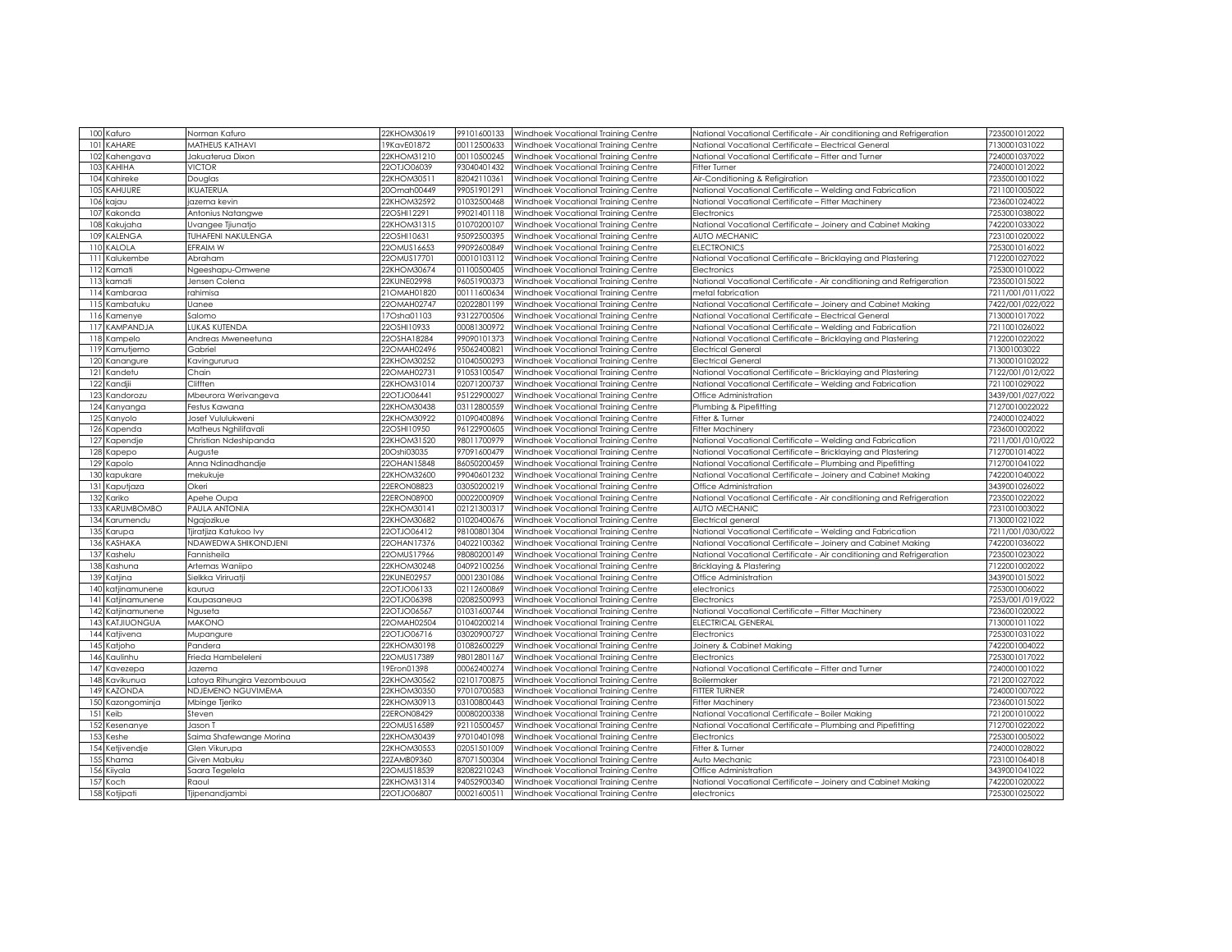|     | 100 Kafuro        | Norman Kafuro               | 22KHOM30619 | 99101600133 | Windhoek Vocational Training Centre | National Vocational Certificate - Air conditioning and Refrigeration | 7235001012022    |
|-----|-------------------|-----------------------------|-------------|-------------|-------------------------------------|----------------------------------------------------------------------|------------------|
| 101 | KAHARE            | MATHEUS KATHAVI             | 9KavE01872  | 00112500633 | Windhoek Vocational Training Centre | National Vocational Certificate - Electrical General                 | 7130001031022    |
| 102 | Kahengava         | Jakuaterua Dixon            | 22KHOM31210 | 00110500245 | Windhoek Vocational Training Centre | National Vocational Certificate - Fitter and Turner                  | 7240001037022    |
| 103 | KAHIHA            | <b>VICTOR</b>               | 22OTJO06039 | 93040401432 | Windhoek Vocational Training Centre | Fitter Turner                                                        | 7240001012022    |
| 104 | Kahireke          | <b>Douglas</b>              | 22KHOM30511 | 82042110361 | Windhoek Vocational Training Centre | Air-Conditioning & Refigiration                                      | 7235001001022    |
| 105 | KAHUURE           | <b>IKUATERUA</b>            | 20Omah00449 | 99051901291 | Windhoek Vocational Training Centre | National Vocational Certificate – Welding and Fabrication            | 7211001005022    |
|     | 106 kajau         | azema kevin                 | 22KHOM32592 | 01032500468 | Windhoek Vocational Training Centre | National Vocational Certificate - Fitter Machinery                   | 7236001024022    |
| 107 |                   |                             |             |             |                                     |                                                                      |                  |
|     | Kakonda           | Antonius Natangwe           | 22OSHI12291 | 99021401118 | Windhoek Vocational Training Centre | Electronics                                                          | 7253001038022    |
| 108 | Kakujaha          | Uvangee Tjiunatjo           | 22KHOM31315 | 01070200107 | Windhoek Vocational Training Centre | National Vocational Certificate - Joinery and Cabinet Making         | 7422001033022    |
| 109 | KALENGA           | TUHAFENI NAKULENGA          | 22OSHI10631 | 95092500395 | Windhoek Vocational Training Centre | <b>AUTO MECHANIC</b>                                                 | 7231001020022    |
| 110 | KALOLA            | EFRAIM W                    | 22OMUS16653 | 99092600849 | Windhoek Vocational Training Centre | <b>ELECTRONICS</b>                                                   | 7253001016022    |
| 111 | Kalukembe         | Abraham                     | 22OMUS17701 | 00010103112 | Windhoek Vocational Training Centre | National Vocational Certificate - Bricklaying and Plastering         | 7122001027022    |
|     | 112 Kamati        | Ngeeshapu-Omwene            | 22KHOM30674 | 01100500405 | Windhoek Vocational Training Centre | Electronics                                                          | '253001010022    |
| 113 | kamati            | Jensen Colena               | 22KUNE02998 | 96051900373 | Windhoek Vocational Training Centre | National Vocational Certificate - Air conditioning and Refrigeration | 7235001015022    |
| 114 | Kambaraa          | ahimisa                     | 10MAH01820  | 00111600634 | Windhoek Vocational Training Centre | metal fabrication                                                    | 7211/001/011/022 |
| 115 | Kambatuku         | Janee                       | 22OMAH02747 | 02022801199 | Windhoek Vocational Training Centre | National Vocational Certificate - Joinery and Cabinet Making         | 7422/001/022/022 |
|     | 116 Kamenye       | Salomo                      | 17Osha01103 | 93122700506 | Windhoek Vocational Training Centre | National Vocational Certificate – Electrical General                 | 7130001017022    |
| 117 | KAMPANDJA         | LUKAS KUTENDA               | 22OSHI10933 | 00081300972 | Windhoek Vocational Training Centre | National Vocational Certificate - Welding and Fabrication            | 7211001026022    |
|     | 118 Kampelo       | Andreas Mweneetuna          | 22OSHA18284 | 99090101373 | Windhoek Vocational Training Centre | National Vocational Certificate - Bricklaying and Plastering         | 7122001022022    |
| 119 | Kamutjemo         | Gabriel                     | 22OMAH02496 | 95062400821 | Windhoek Vocational Training Centre | Electrical General                                                   | 713001003022     |
| 120 | Kanangure         | Kavingururua                | 22KHOM30252 | 01040500293 | Windhoek Vocational Training Centre | Electrical General                                                   | 71300010102022   |
| 121 | Kandetu           | Chain                       | 22OMAH02731 | 91053100547 | Windhoek Vocational Training Centre | National Vocational Certificate - Bricklaying and Plastering         | 7122/001/012/022 |
| 122 | Kandiii           | Clifften                    | 22KHOM31014 | 02071200737 | Windhoek Vocational Training Centre | National Vocational Certificate - Welding and Fabrication            | 7211001029022    |
| 123 | Kandorozu         | Mbeurora Werivangeva        | 22OTJO06441 | 95122900027 | Windhoek Vocational Training Centre | Office Administration                                                | 3439/001/027/022 |
| 124 | Kanyanga          | Festus Kawana               | 22KHOM30438 | 03112800559 | Windhoek Vocational Training Centre | Plumbing & Pipefitting                                               | 71270010022022   |
| 125 | Kanyolo           | Josef Vululukweni           | 22KHOM30922 | 01090400896 | Windhoek Vocational Training Centre | Fitter & Turner                                                      | 7240001024022    |
| 126 | Kapenda           | Matheus Nghilifavali        | 22OSHI10950 | 96122900605 | Windhoek Vocational Training Centre | Fitter Machinery                                                     | 7236001002022    |
| 127 | Kapendje          | Christian Ndeshipanda       | 22KHOM31520 | 98011700979 | Windhoek Vocational Training Centre | Vational Vocational Certificate - Welding and Fabrication            | 7211/001/010/022 |
| 128 | Kapepo            | Auguste                     | 20Oshi03035 | 97091600479 | Windhoek Vocational Training Centre | National Vocational Certificate - Bricklaying and Plastering         | 7127001014022    |
|     | 129 Kapolo        | Anna Ndinadhandje           | 22OHAN15848 | 86050200459 | Windhoek Vocational Training Centre | National Vocational Certificate - Plumbing and Pipefitting           | 7127001041022    |
|     | 130 kapukare      | mekukuje                    | 22KHOM32600 | 99040601232 | Windhoek Vocational Training Centre | National Vocational Certificate - Joinery and Cabinet Making         | 7422001040022    |
|     | 131 Kaputjaza     | Okeri                       | 22ERON08823 | 03050200219 | Windhoek Vocational Training Centre | Office Administration                                                | 3439001026022    |
| 132 | Kariko            | Apehe Oupa                  | 22ERON08900 | 00022000909 | Windhoek Vocational Training Centre | National Vocational Certificate - Air conditioning and Refrigeration | 7235001022022    |
| 133 | KARUMBOMBO        | PAULA ANTONIA               | 22KHOM30141 | 02121300317 | Windhoek Vocational Training Centre | <b>AUTO MECHANIC</b>                                                 | 7231001003022    |
| 134 | Karumendu         | Ngajozikue                  | 22KHOM30682 | 01020400676 | Windhoek Vocational Training Centre | Electrical general                                                   | 7130001021022    |
| 135 | Karupa            | fjiratjiza Katukoo Ivy      | 20TJ006412  | 98100801304 | Windhoek Vocational Training Centre | National Vocational Certificate - Welding and Fabrication            | "211/001/030/022 |
| 136 | KASHAKA           | NDAWEDWA SHIKONDJENI        | 22OHAN17376 | 04022100362 | Windhoek Vocational Training Centre | National Vocational Certificate – Joinery and Cabinet Making         | 7422001036022    |
| 137 | Kashelu           | <sup>-</sup> annisheila     | 22OMUS17966 | 98080200149 | Windhoek Vocational Training Centre | National Vocational Certificate - Air conditioning and Refrigeration | 235001023022     |
| 138 | Kashuna           | Artemas Waniipo             | 22KHOM30248 | 04092100256 | Windhoek Vocational Training Centre | Bricklaying & Plastering                                             | 7122001002022    |
|     | 139 Katjina       | Sielkka Viriruatji          | 22KUNE02957 | 00012301086 | Windhoek Vocational Training Centre | Office Administration                                                | 3439001015022    |
|     | 140 katjinamunene | kaurua                      | 22OTJO06133 | 02112600869 | Windhoek Vocational Training Centre | electronics                                                          | 7253001006022    |
|     | 141 Katjinamunene | Kaupasaneua                 | 22OTJO06398 | 02082500993 | Windhoek Vocational Training Centre | Electronics                                                          | 7253/001/019/022 |
| 142 | Katjinamunene     | Nguseta                     | 22OTJO06567 | 01031600744 | Windhoek Vocational Training Centre | National Vocational Certificate - Fitter Machinery                   | 7236001020022    |
|     | 143 KATJIUONGUA   | <b>MAKONO</b>               | 22OMAH02504 | 01040200214 | Windhoek Vocational Training Centre | ELECTRICAL GENERAL                                                   | 7130001011022    |
|     | 144 Katjivena     | Mupangure                   | 22OTJO06716 | 03020900727 | Windhoek Vocational Training Centre | Electronics                                                          | 7253001031022    |
|     |                   |                             |             |             |                                     |                                                                      | 7422001004022    |
| 146 | 145 Katjoho       | Pandera                     | 22KHOM30198 | 01082600229 | Windhoek Vocational Training Centre | Joinery & Cabinet Making                                             |                  |
|     | Kaulinhu          | Frieda Hambeleleni          | 22OMUS17389 | 98012801167 | Windhoek Vocational Training Centre | Electronics                                                          | 7253001017022    |
|     | 147 Kavezepa      | Jazema                      | 9Eron01398  | 00062400274 | Windhoek Vocational Training Centre | National Vocational Certificate - Fitter and Turner                  | 7240001001022    |
|     | 148 Kavikunua     | Latoya Rihungira Vezombouua | 22KHOM30562 | 02101700875 | Windhoek Vocational Training Centre | Boilermaker                                                          | 7212001027022    |
|     | 149 KAZONDA       | NDJEMENO NGUVIMEMA          | 22KHOM30350 | 97010700583 | Windhoek Vocational Training Centre | FITTER TURNER                                                        | 7240001007022    |
|     | 150 Kazongominja  | Mbinge Tjeriko              | 22KHOM30913 | 03100800443 | Windhoek Vocational Training Centre | Fitter Machinery                                                     | 7236001015022    |
|     | 151 Keib          | Steven                      | 22ERON08429 | 00080200338 | Windhoek Vocational Training Centre | National Vocational Certificate - Boiler Making                      | 7212001010022    |
|     | 152 Kesenanye     | Jason T                     | 22OMUS16589 | 92110500457 | Windhoek Vocational Training Centre | National Vocational Certificate - Plumbing and Pipefitting           | 7127001022022    |
|     | 153 Keshe         | Saima Shafewange Morina     | 22KHOM30439 | 97010401098 | Windhoek Vocational Training Centre | Electronics                                                          | 7253001005022    |
|     | 154 Ketjivendje   | Glen Vikurupa               | 22KHOM30553 | 02051501009 | Windhoek Vocational Training Centre | Fitter & Turner                                                      | 7240001028022    |
|     | 155 Khama         | Given Mabuku                | 22ZAMB09360 | 87071500304 | Windhoek Vocational Training Centre | Auto Mechanic                                                        | 7231001064018    |
|     | 156 Kiiyala       | Saara Tegelela              | 22OMUS18539 | 82082210243 | Windhoek Vocational Training Centre | Office Administration                                                | 3439001041022    |
| 157 | Koch              | Raoul                       | 22KHOM31314 | 94052900340 | Windhoek Vocational Training Centre | National Vocational Certificate - Joinery and Cabinet Making         | 7422001020022    |
|     | 158 Kotjipati     | Tjipenandjambi              | 22OTJO06807 | 00021600511 | Windhoek Vocational Training Centre | electronics                                                          | 7253001025022    |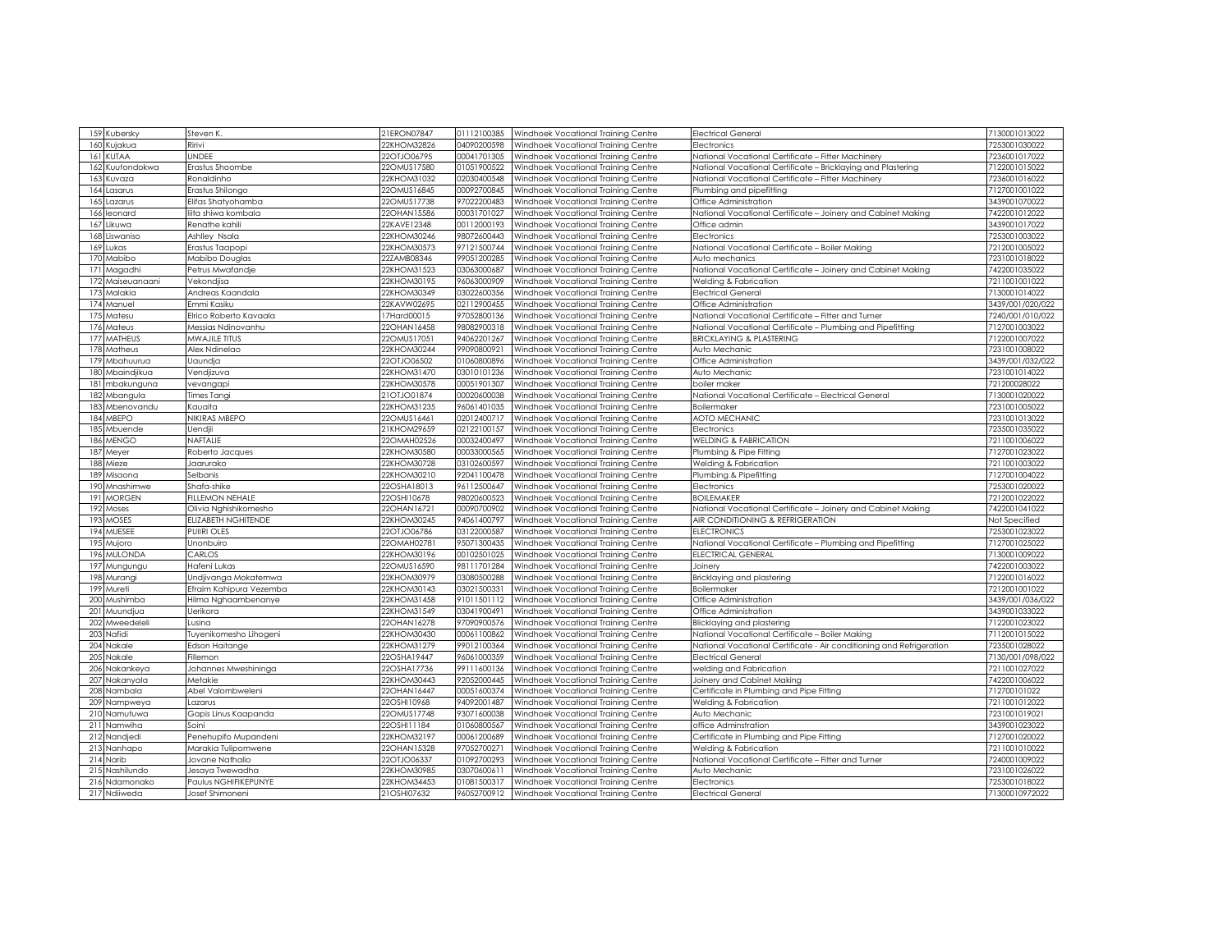|      | 159 Kubersky    | Steven K.                    | 21ERON07847 | 01112100385 | Windhoek Vocational Training Centre                                        | <b>Electrical General</b>                                            | 7130001013022    |
|------|-----------------|------------------------------|-------------|-------------|----------------------------------------------------------------------------|----------------------------------------------------------------------|------------------|
| 160  | Kuiakua         | Ririvi                       | 22KHOM32826 | 04090200598 | Windhoek Vocational Training Centre                                        | Electronics                                                          | 7253001030022    |
|      | 161 KUTAA       | UNDEE                        | 22OTJO06795 | 00041701305 | Windhoek Vocational Training Centre                                        | National Vocational Certificate - Fitter Machinery                   | 7236001017022    |
| 162  | Kuutondokwa     | Erastus Shoombe              | 22OMUS17580 | 01051900522 | Windhoek Vocational Training Centre                                        | National Vocational Certificate - Bricklaying and Plastering         | 7122001015022    |
| 1631 | Kuvaza          | Ronaldinho                   | 22KHOM31032 | 02030400548 | Windhoek Vocational Training Centre                                        | National Vocational Certificate - Fitter Machinery                   | 7236001016022    |
| 164  | Lasarus         | Erastus Shilongo             | 220MUS16845 | 00092700845 | Windhoek Vocational Training Centre                                        | Plumbing and pipefitting                                             | 7127001001022    |
|      |                 |                              |             | 97022200483 |                                                                            |                                                                      | 3439001070022    |
|      | 165 Lazarus     | Elifas Shatyohamba           | 22OMUS17738 |             | Windhoek Vocational Training Centre                                        | Office Administration                                                |                  |
| 166  | eonard          | liita shiwa kombala          | 22OHAN15586 | 00031701027 | Windhoek Vocational Training Centre                                        | National Vocational Certificate - Joinery and Cabinet Making         | 7422001012022    |
|      | 167 Likuwa      | Renathe kahili               | 22KAVE12348 | 00112000193 | Windhoek Vocational Training Centre                                        | Office admin                                                         | 3439001017022    |
|      | 168 Liswaniso   | Ashlley Nsala                | 22KHOM30246 | 98072600443 | Windhoek Vocational Training Centre                                        | Electronics                                                          | 7253001003022    |
|      | 169 Lukas       | Erastus Taapopi              | 22KHOM30573 | 97121500744 | Windhoek Vocational Training Centre                                        | National Vocational Certificate - Boiler Making                      | 7212001005022    |
| 170  | Mabibo          | Mabibo Douglas               | 22ZAMB08346 | 99051200285 | Windhoek Vocational Training Centre                                        | Auto mechanics                                                       | 7231001018022    |
|      | 171 Magadhi     | <sup>9</sup> etrus Mwafandje | 22KHOM31523 | 03063000687 | Windhoek Vocational Training Centre                                        | National Vocational Certificate - Joinery and Cabinet Making         | 7422001035022    |
| 172  | Maiseuanaani    | Vekondjisa                   | 22KHOM30195 | 96063000909 | Windhoek Vocational Training Centre                                        | Welding & Fabrication                                                | 7211001001022    |
| 173  | Malakia         | Andreas Kaandala             | 22KHOM30349 | 03022600356 | Windhoek Vocational Training Centre                                        | Electrical General                                                   | 7130001014022    |
| 174  | Manuel          | Emmi Kasiku                  | 22KAVW02695 | 02112900455 | Windhoek Vocational Training Centre                                        | Office Administration                                                | 3439/001/020/022 |
|      | 175 Matesu      | Elrico Roberto Kavaala       | 7Hard00015  | 97052800136 | Windhoek Vocational Training Centre                                        | National Vocational Certificate - Fitter and Turner                  | 7240/001/010/022 |
| 176  | Mateus          | Messias Ndinovanhu           | 22OHAN16458 | 98082900318 | Windhoek Vocational Training Centre                                        | National Vocational Certificate – Plumbing and Pipefitting           | 7127001003022    |
| 177  | <b>MATHEUS</b>  | MWAJILE TITUS                | 22OMUS17051 | 94062201267 | Windhoek Vocational Training Centre                                        | <b>BRICKLAYING &amp; PLASTERING</b>                                  | 7122001007022    |
| 178  | Matheus         | Alex Ndinelao                | 22KHOM30244 | 99090800921 | Windhoek Vocational Training Centre                                        | Auto Mechanic                                                        | 7231001008022    |
| 179  | Mbahuurua       | Uaundja                      | 22OTJO06502 | 01060800896 | Windhoek Vocational Training Centre                                        | Office Administration                                                | 3439/001/032/022 |
|      | 180 Mbaindjikua | Vendjizuva                   | 22KHOM31470 | 03010101236 | Windhoek Vocational Training Centre                                        | Auto Mechanic                                                        | 7231001014022    |
|      | 181 mbakunguna  | vevangapi                    | 22KHOM30578 | 00051901307 | Windhoek Vocational Training Centre                                        | boiler maker                                                         | 721200028022     |
|      | 182 Mbangula    | Times Tangi                  | 210TJ001874 | 00020600038 | Windhoek Vocational Training Centre                                        | National Vocational Certificate - Electrical General                 | 7130001020022    |
|      | 183 Mbenovandu  | Kauaita                      | 22KHOM31235 | 96061401035 | Windhoek Vocational Training Centre                                        | Boilermaker                                                          | 7231001005022    |
|      | 184 MBEPO       | NIKIRAS MBEPO                | 22OMUS16461 | 02012400717 | Windhoek Vocational Training Centre                                        | AOTO MECHANIC                                                        | 7231001013022    |
|      | 185 Mbuende     | Uendjii                      | 21KHOM29659 | 02122100157 |                                                                            | Electronics                                                          | 7235001035022    |
|      | 186 MENGO       | NAFTALIE                     | 22OMAH02526 | 00032400497 | Windhoek Vocational Training Centre<br>Windhoek Vocational Training Centre | <b>WELDING &amp; FABRICATION</b>                                     | 7211001006022    |
|      |                 |                              |             |             |                                                                            |                                                                      |                  |
|      | 187 Meyer       | Roberto Jacques              | 22KHOM30580 | 00033000565 | Windhoek Vocational Training Centre                                        | Plumbing & Pipe Fitting                                              | 7127001023022    |
|      | 188 Mieze       | Jaarurako                    | 22KHOM30728 | 03102600597 | Windhoek Vocational Training Centre                                        | Welding & Fabrication                                                | 7211001003022    |
|      | 189 Misaona     | Selbanis                     | 22KHOM30210 | 92041100478 | Windhoek Vocational Training Centre                                        | Plumbing & Pipefitting                                               | 7127001004022    |
|      | 190 Mnashimwe   | Shafa-shike                  | 22OSHA18013 | 96112500647 | Windhoek Vocational Training Centre                                        | Electronics                                                          | 7253001020022    |
|      | 191 MORGEN      | FILLEMON NEHALE              | 22OSHI10678 | 98020600523 | Windhoek Vocational Training Centre                                        | <b>BOILEMAKER</b>                                                    | 7212001022022    |
| 192  | Moses           | Olivia Nghishikomesho        | 22OHAN1672  | 00090700902 | Windhoek Vocational Training Centre                                        | National Vocational Certificate - Joinery and Cabinet Making         | 7422001041022    |
| 193  | <b>MOSES</b>    | ELIZABETH NGHITENDE          | 22KHOM30245 | 94061400797 | Windhoek Vocational Training Centre                                        | AIR CONDITIONING & REFRIGERATION                                     | Not Specified    |
|      | 194 MUESEE      | PUIIRI OLES                  | 22OTJO06786 | 03122000587 | Windhoek Vocational Training Centre                                        | <b>ELECTRONICS</b>                                                   | 7253001023022    |
| 195  | Mujoro          | Unonbuiro                    | 22OMAH0278  | 95071300435 | Windhoek Vocational Training Centre                                        | National Vocational Certificate – Plumbing and Pipefitting           | 7127001025022    |
|      | 196 MULONDA     | CARLOS                       | 22KHOM30196 | 00102501025 | Windhoek Vocational Training Centre                                        | ELECTRICAL GENERAL                                                   | 7130001009022    |
| 197  | Mungungu        | Hafeni Lukas                 | 22OMUS16590 | 98111701284 | Windhoek Vocational Training Centre                                        | Joinerv                                                              | 7422001003022    |
|      | 198 Murangi     | Undjivanga Mokatemwa         | 22KHOM30979 | 03080500288 | Windhoek Vocational Training Centre                                        | Bricklaying and plastering                                           | 7122001016022    |
|      | 199 Mureti      | Efraim Kahipura Vezemba      | 22KHOM30143 | 03021500331 | Windhoek Vocational Training Centre                                        | Boilermaker                                                          | 7212001001022    |
| 200  | Mushimba        | Hilma Nghaambenanye          | 22KHOM31458 | 91011501112 | Windhoek Vocational Training Centre                                        | Office Administration                                                | 3439/001/036/022 |
|      | 201 Muundjua    | Uerikora                     | 22KHOM31549 | 0304190049  | Windhoek Vocational Training Centre                                        | Office Administration                                                | 3439001033022    |
| 202  | Mweedeleli      | Lusina                       | 22OHAN16278 | 97090900576 | Windhoek Vocational Training Centre                                        | <b>Blicklaying and plastering</b>                                    | 7122001023022    |
| 203  | Nafidi          | Tuyenikomesho Lihogeni       | 22KHOM30430 | 00061100862 | Windhoek Vocational Training Centre                                        | National Vocational Certificate – Boiler Making                      | 7112001015022    |
| 204  | Nakale          | Edson Haitange               | 22KHOM31279 | 99012100364 | Windhoek Vocational Training Centre                                        | National Vocational Certificate - Air conditioning and Refrigeration | 7235001028022    |
|      | 205 Nakale      | Fillemon                     | 22OSHA19447 | 96061000359 | Windhoek Vocational Training Centre                                        | <b>Electrical General</b>                                            | 7130/001/098/022 |
|      | 206 Nakankeya   | Johannes Mweshininga         | 22OSHA17736 | 99111600136 | Windhoek Vocational Training Centre                                        | welding and Fabrication                                              | 7211001027022    |
|      | 207 Nakanyala   | Metakie                      | 22KHOM30443 | 92052000445 | Windhoek Vocational Training Centre                                        | Joinery and Cabinet Making                                           | 7422001006022    |
|      | 208 Nambala     | Abel Valombweleni            | 22OHAN16447 | 00051600374 | Windhoek Vocational Training Centre                                        | Certificate in Plumbing and Pipe Fitting                             | 712700101022     |
|      | 209 Nampweya    | .azarus                      | 22OSHI10968 | 94092001487 | Windhoek Vocational Training Centre                                        | Welding & Fabrication                                                | 7211001012022    |
|      | 210 Namutuwa    | Gapis Linus Kaapanda         | 22OMUS17748 | 93071600038 | Windhoek Vocational Training Centre                                        | Auto Mechanic                                                        | 7231001019021    |
|      | 211 Namwiha     | Soini                        | 22OSHI1184  | 01060800567 |                                                                            |                                                                      | 3439001023022    |
|      |                 |                              |             |             | Windhoek Vocational Training Centre                                        | office Adminstration                                                 | 7127001020022    |
|      | 212 Nandjedi    | Penehupifo Mupandeni         | 22KHOM32197 | 00061200689 | Windhoek Vocational Training Centre                                        | Certificate in Plumbing and Pipe Fitting                             |                  |
|      | 213 Nanhapo     | Marakia Tulipomwene          | 22OHAN15328 | 9705270027  | Windhoek Vocational Training Centre                                        | Welding & Fabrication                                                | 7211001010022    |
|      | 214 Narib       | Jovane Nathalio              | 22OTJO06337 | 01092700293 | Windhoek Vocational Training Centre                                        | National Vocational Certificate - Fitter and Turner                  | 7240001009022    |
| 215  | Nashilundo      | Jesaya Twewadha              | 22KHOM30985 | 0307060061  | Windhoek Vocational Training Centre                                        | Auto Mechanic                                                        | 7231001026022    |
| 216  | Ndamonako       | aulus NGHIFIKEPUNYE          | 22KHOM34453 | 01081500317 | Windhoek Vocational Training Centre                                        | Electronics                                                          | 7253001018022    |
|      | 217 Ndiiweda    | Josef Shimoneni              | 21OSHI07632 | 96052700912 | Windhoek Vocational Training Centre                                        | <b>Electrical General</b>                                            | 71300010972022   |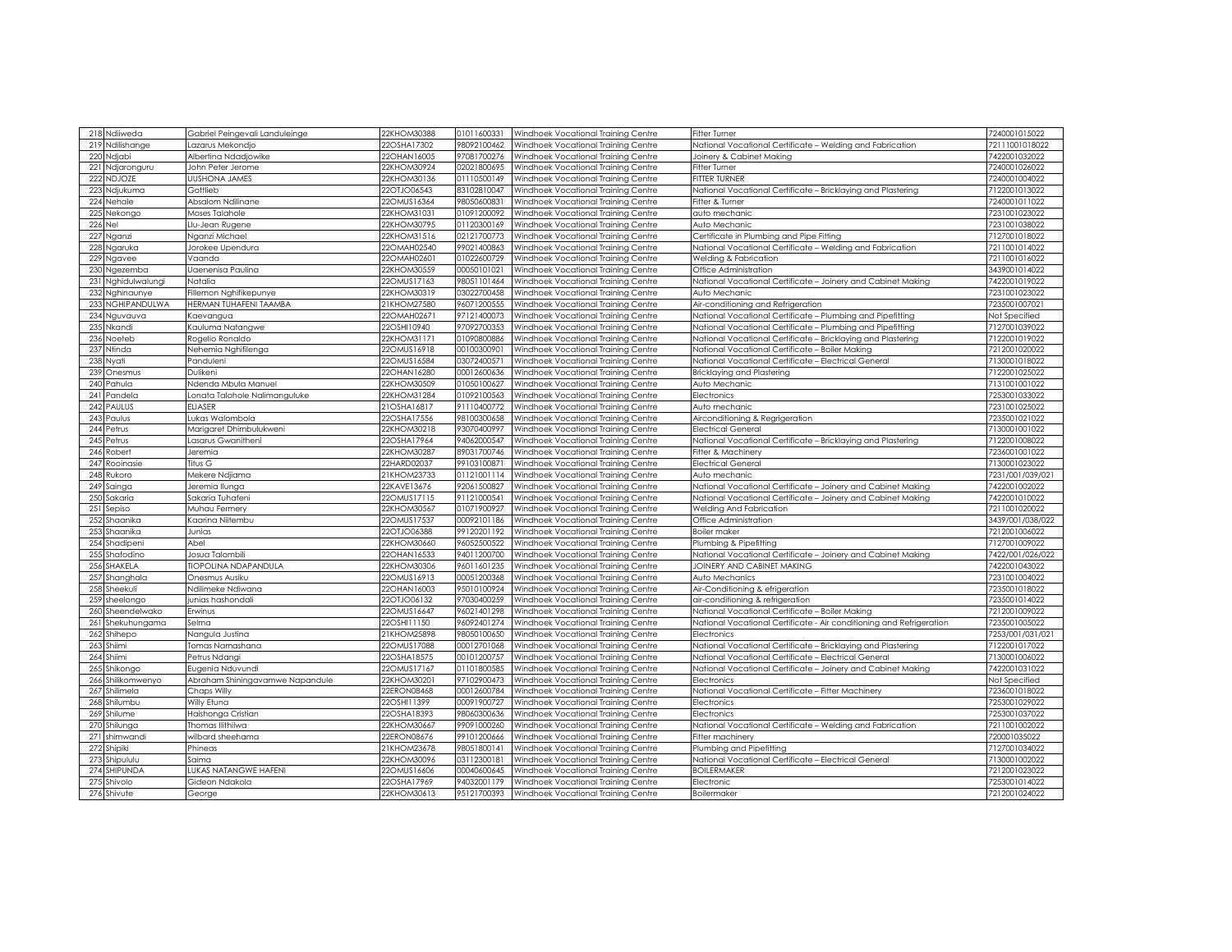|         | 218 Ndiiweda      | Gabriel Peingevali Landuleinge    | 22KHOM30388 | 01011600331 | Windhoek Vocational Training Centre | <b>Fitter Turner</b>                                                 | 7240001015022    |
|---------|-------------------|-----------------------------------|-------------|-------------|-------------------------------------|----------------------------------------------------------------------|------------------|
|         | 219 Ndilishange   | Lazarus Mekondjo                  | 22OSHA17302 | 98092100462 | Windhoek Vocational Training Centre | National Vocational Certificate - Welding and Fabrication            | 72111001018022   |
|         | 220 Ndjabi        | Albertina Ndadjowike              | 22OHAN16005 | 97081700276 | Windhoek Vocational Training Centre | Joinery & Cabinet Making                                             | 7422001032022    |
| 221     | Ndjaronguru       | John Peter Jerome                 | 22KHOM30924 | 02021800695 | Windhoek Vocational Training Centre | <b>Fitter Turner</b>                                                 | 7240001026022    |
|         | 222 NDJOZE        | <b>UUSHONA JAMES</b>              | 22KHOM30136 | 01110500149 | Windhoek Vocational Training Centre | <b>FITTER TURNER</b>                                                 | 7240001004022    |
|         | 223 Ndjukuma      | Gottlieb                          | 22OTJO06543 | 83102810047 | Windhoek Vocational Training Centre | National Vocational Certificate - Bricklaying and Plastering         | 7122001013022    |
|         | 224 Nehale        | Absalom Ndilinane                 | 22OMUS16364 | 98050600831 | Windhoek Vocational Training Centre | Fitter & Turner                                                      | 7240001011022    |
|         |                   | Moses Talahole                    | 22KHOM31031 | 01091200092 |                                     |                                                                      | 7231001023022    |
|         | 225 Nekongo       |                                   | 22KHOM30795 | 01120300169 | Windhoek Vocational Training Centre | auto mechanic<br>Auto Mechanic                                       | 7231001038022    |
| 226 Nel |                   | Llu-Jean Rugene                   |             |             | Windhoek Vocational Training Centre |                                                                      |                  |
|         | 227 Nganzi        | Nganzi Michael                    | 22KHOM31516 | 02121700773 | Windhoek Vocational Training Centre | Certificate in Plumbing and Pipe Fitting                             | 7127001018022    |
|         | 228 Ngaruka       | Jorokee Upendura                  | 22OMAH02540 | 99021400863 | Windhoek Vocational Training Centre | National Vocational Certificate - Welding and Fabrication            | 7211001014022    |
|         | 229 Ngavee        | Vaanda                            | 22OMAH02601 | 01022600729 | Windhoek Vocational Training Centre | Welding & Fabrication                                                | 7211001016022    |
|         | 230 Ngezemba      | Uaenenisa Paulina                 | 22KHOM30559 | 00050101021 | Windhoek Vocational Training Centre | Office Administration                                                | 3439001014022    |
| 231     | Nghidulwalungi    | Natalia                           | 22OMUS17163 | 98051101464 | Windhoek Vocational Training Centre | National Vocational Certificate - Joinery and Cabinet Making         | 7422001019022    |
|         | 232 Nghinaunye    | illemon Nghifikepunye             | 22KHOM30319 | 03022700458 | Windhoek Vocational Training Centre | Auto Mechanic                                                        | 7231001023022    |
| 233     | NGHIPANDULWA      | HERMAN TUHAFENI TAAMBA            | 21KHOM27580 | 96071200555 | Windhoek Vocational Training Centre | Air-conditioning and Refrigeration                                   | 7235001007021    |
|         | 234 Nguvauva      | Kaevangua                         | 22OMAH0267  | 97121400073 | Windhoek Vocational Training Centre | National Vocational Certificate - Plumbing and Pipefitting           | Not Specified    |
|         | 235 Nkandi        | Kauluma Natangwe                  | 22OSHI10940 | 97092700353 | Windhoek Vocational Training Centre | National Vocational Certificate – Plumbing and Pipefitting           | 7127001039022    |
|         | 236 Noeteb        | Rogelio Ronaldo                   | 22KHOM31171 | 01090800886 | Windhoek Vocational Training Centre | National Vocational Certificate - Bricklaying and Plastering         | 7122001019022    |
| 237     | Ntinda            | Nehemia Nghifilenga               | 22OMUS16918 | 00100300901 | Windhoek Vocational Training Centre | National Vocational Certificate - Boiler Making                      | 7212001020022    |
| 238     | Nyati             | Panduleni                         | 22OMUS16584 | 0307240057  | Windhoek Vocational Training Centre | National Vocational Certificate - Electrical General                 | 7130001018022    |
| 239     | Onesmus           | Dulikeni                          | 22OHAN16280 | 00012600636 | Windhoek Vocational Training Centre | Bricklaying and Plastering                                           | 7122001025022    |
| 240     | Pahula            | Ndenda Mbula Manuel               | 22KHOM30509 | 01050100627 | Windhoek Vocational Training Centre | Auto Mechanic                                                        | 7131001001022    |
| 241     | Pandela           | Lonata Talohole Nalimanguluke     | 22KHOM31284 | 01092100563 | Windhoek Vocational Training Centre | Electronics                                                          | 7253001033022    |
| 242     | PAULUS            | <b>ELIASER</b>                    | 21OSHA16817 | 91110400772 | Windhoek Vocational Training Centre | Auto mechanic                                                        | 7231001025022    |
| 243     | Paulus            | Lukas Walombola                   | 22OSHA17556 | 98100300658 | Windhoek Vocational Training Centre | Airconditioning & Regrigeration                                      | 7235001021022    |
|         | 244 Petrus        | Marigaret Dhimbulukweni           | 22KHOM30218 | 93070400997 | Windhoek Vocational Training Centre | <b>Electrical General</b>                                            | 7130001001022    |
|         | 245 Petrus        | Lasarus Gwanitheni                | 22OSHA17964 | 94062000547 | Windhoek Vocational Training Centre | National Vocational Certificate - Bricklaying and Plastering         | 7122001008022    |
|         | 246 Robert        | Jeremia                           | 22KHOM30287 | 89031700746 | Windhoek Vocational Training Centre | Fitter & Machinery                                                   | 7236001001022    |
|         | 247 Rooinasie     | Titus G                           | 22HARD02037 | 99103100871 | Windhoek Vocational Training Centre | <b>Electrical General</b>                                            | 7130001023022    |
|         | 248 Rukoro        | Mekere Ndjiama                    | 21KHOM23733 | 01121001114 | Windhoek Vocational Training Centre | Auto mechanic                                                        | 7231/001/039/021 |
| 249     | Sainga            | Jeremia Ilunga                    | 22KAVE13676 | 92061500827 | Windhoek Vocational Training Centre | National Vocational Certificate - Joinery and Cabinet Making         | 7422001002022    |
| 250     | iakaria           | Sakaria Tuhafeni                  | 22OMUS17115 | 91121000541 | Windhoek Vocational Training Centre | National Vocational Certificate - Joinery and Cabinet Making         | 7422001010022    |
| 251     |                   |                                   | 22KHOM30567 | 01071900927 |                                     | Welding And Fabrication                                              | 7211001020022    |
| 252     | Sepiso            | Muhau Fermery<br>Kaarina Niitembu | 22OMUS17537 | 00092101186 | Windhoek Vocational Training Centre | Office Administration                                                | 3439/001/038/022 |
|         | ihaanika          |                                   |             | 99120201192 | Windhoek Vocational Training Centre |                                                                      | 7212001006022    |
| 253     | Shaanika          | Junias                            | 22OTJO06388 |             | Windhoek Vocational Training Centre | Boiler maker                                                         |                  |
| 254     | Shadipeni         | Abel                              | 22KHOM30660 | 96052500522 | Windhoek Vocational Training Centre | Plumbing & Pipefitting                                               | 7127001009022    |
| 255     | Shafodino         | Josua Talombili                   | 22OHAN16533 | 94011200700 | Windhoek Vocational Training Centre | National Vocational Certificate - Joinery and Cabinet Making         | 7422/001/026/022 |
| 256     | SHAKELA           | <b>TIOPOLINA NDAPANDULA</b>       | 22KHOM30306 | 96011601235 | Windhoek Vocational Training Centre | JOINERY AND CABINET MAKING                                           | 7422001043022    |
| 257     | Shanghala         | Onesmus Ausiku                    | 22OMUS16913 | 00051200368 | Windhoek Vocational Training Centre | Auto Mechanics                                                       | 7231001004022    |
| 258     | Sheekuli          | Ndilimeke Ndiwana                 | 22OHAN16003 | 95010100924 | Windhoek Vocational Training Centre | Air-Conditioning & efrigeration                                      | 7235001018022    |
| 259     | sheelongo         | junias hashondali                 | 22OTJO06132 | 97030400259 | Windhoek Vocational Training Centre | air-conditioning & refrigeration                                     | 7235001014022    |
| 260     | Sheendelwako      | Erwinus                           | 22OMUS16647 | 96021401298 | Windhoek Vocational Training Centre | National Vocational Certificate - Boiler Making                      | 7212001009022    |
| 261     | Shekuhungama      | Selma                             | 22OSHI1150  | 96092401274 | Windhoek Vocational Training Centre | National Vocational Certificate - Air conditioning and Refrigeration | 7235001005022    |
|         | 262 Shihepo       | Nangula Justina                   | 21KHOM25898 | 98050100650 | Windhoek Vocational Training Centre | Electronics                                                          | 7253/001/031/021 |
| 263     | Shiimi            | Tomas Namashana                   | 22OMUS17088 | 00012701068 | Windhoek Vocational Training Centre | National Vocational Certificate - Bricklaying and Plastering         | 7122001017022    |
|         | 264 Shiimi        | Petrus Ndangi                     | 22OSHA18575 | 00101200757 | Windhoek Vocational Training Centre | National Vocational Certificate - Electrical General                 | 7130001006022    |
| 265     | Shikongo          | Eugenia Nduvundi                  | 22OMUS17167 | 01101800585 | Windhoek Vocational Training Centre | National Vocational Certificate - Joinery and Cabinet Making         | 7422001031022    |
|         | 266 Shilikomwenyo | Abraham Shiningavamwe Napandule   | 22KHOM30201 | 97102900473 | Windhoek Vocational Training Centre | Electronics                                                          | Not Specified    |
|         | 267 Shilimela     | Chaps Willy                       | 22ERON08468 | 00012600784 | Windhoek Vocational Training Centre | National Vocational Certificate - Fitter Machinery                   | 7236001018022    |
|         | 268 Shilumbu      | Willy Etuna                       | 22OSHI11399 | 00091900727 | Windhoek Vocational Training Centre | Electronics                                                          | 7253001029022    |
|         | 269 Shilume       | Haishonga Cristian                | 22OSHA18393 | 98060300636 | Windhoek Vocational Training Centre | Electronics                                                          | 7253001037022    |
| 270     | Shilunga          | Thomas Ilithilwa                  | 22KHOM30667 | 99091000260 | Windhoek Vocational Training Centre | National Vocational Certificate - Welding and Fabrication            | 7211001002022    |
| 271     | shimwandi         | wilbard sheehama                  | 22ERON08676 | 99101200666 | Windhoek Vocational Training Centre | Fitter machinery                                                     | 720001035022     |
| 272     | <b>Shipiki</b>    | Phineas                           | 21KHOM23678 | 98051800141 | Windhoek Vocational Training Centre | Plumbing and Pipefitting                                             | 7127001034022    |
| 273     | <b>Shipululu</b>  | Saima                             | 22KHOM30096 | 03112300181 | Windhoek Vocational Training Centre | National Vocational Certificate - Electrical General                 | 7130001002022    |
| 274     | <b>SHIPUNDA</b>   | LUKAS NATANGWE HAFENI             | 22OMUS16606 | 00040600645 | Windhoek Vocational Training Centre | <b>BOILERMAKER</b>                                                   | 7212001023022    |
| 275     | ihivolo           | Gideon Ndakola                    | 22OSHA17969 | 94032001179 | Windhoek Vocational Training Centre | Electronic                                                           | 7253001014022    |
|         | 276 Shivute       | George                            | 22KHOM30613 | 95121700393 | Windhoek Vocational Training Centre | Boilermaker                                                          | 7212001024022    |
|         |                   |                                   |             |             |                                     |                                                                      |                  |